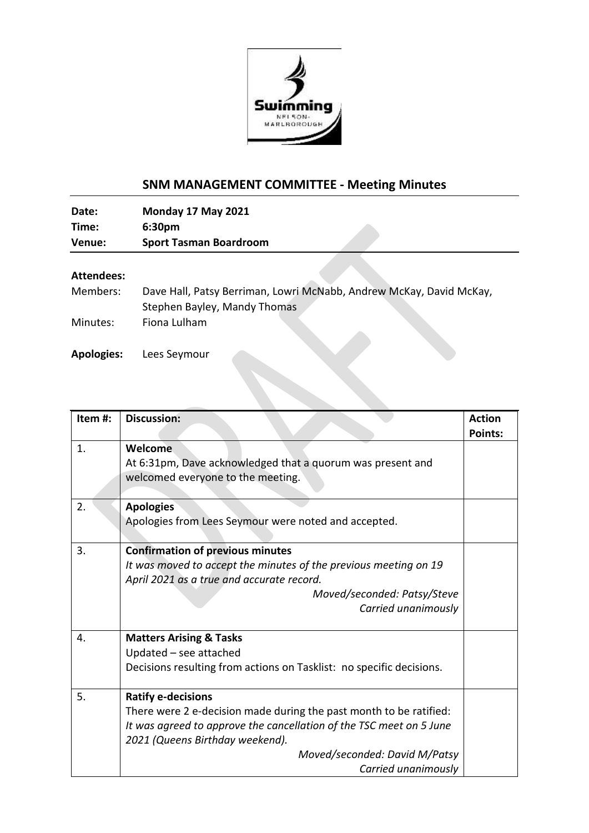

## **SNM MANAGEMENT COMMITTEE - Meeting Minutes**

**Date: Monday 17 May 2021 Time: 6:30pm Venue: Sport Tasman Boardroom**

## **Attendees:**

| Members: | Dave Hall, Patsy Berriman, Lowri McNabb, Andrew McKay, David McKay, |
|----------|---------------------------------------------------------------------|
|          | Stephen Bayley, Mandy Thomas                                        |
| Minutes: | Fiona Lulham                                                        |

**Apologies:** Lees Seymour

| Item #: | <b>Discussion:</b>                                                   | <b>Action</b>  |
|---------|----------------------------------------------------------------------|----------------|
|         |                                                                      |                |
|         |                                                                      | <b>Points:</b> |
| 1.      | Welcome                                                              |                |
|         | At 6:31pm, Dave acknowledged that a quorum was present and           |                |
|         | welcomed everyone to the meeting.                                    |                |
|         |                                                                      |                |
| 2.      | <b>Apologies</b>                                                     |                |
|         | Apologies from Lees Seymour were noted and accepted.                 |                |
|         |                                                                      |                |
| 3.      | <b>Confirmation of previous minutes</b>                              |                |
|         | It was moved to accept the minutes of the previous meeting on 19     |                |
|         | April 2021 as a true and accurate record.                            |                |
|         | Moved/seconded: Patsy/Steve                                          |                |
|         | Carried unanimously                                                  |                |
|         |                                                                      |                |
| 4.      | <b>Matters Arising &amp; Tasks</b>                                   |                |
|         | Updated - see attached                                               |                |
|         | Decisions resulting from actions on Tasklist: no specific decisions. |                |
|         |                                                                      |                |
| 5.      | <b>Ratify e-decisions</b>                                            |                |
|         | There were 2 e-decision made during the past month to be ratified:   |                |
|         | It was agreed to approve the cancellation of the TSC meet on 5 June  |                |
|         | 2021 (Queens Birthday weekend).                                      |                |
|         | Moved/seconded: David M/Patsy                                        |                |
|         | Carried unanimously                                                  |                |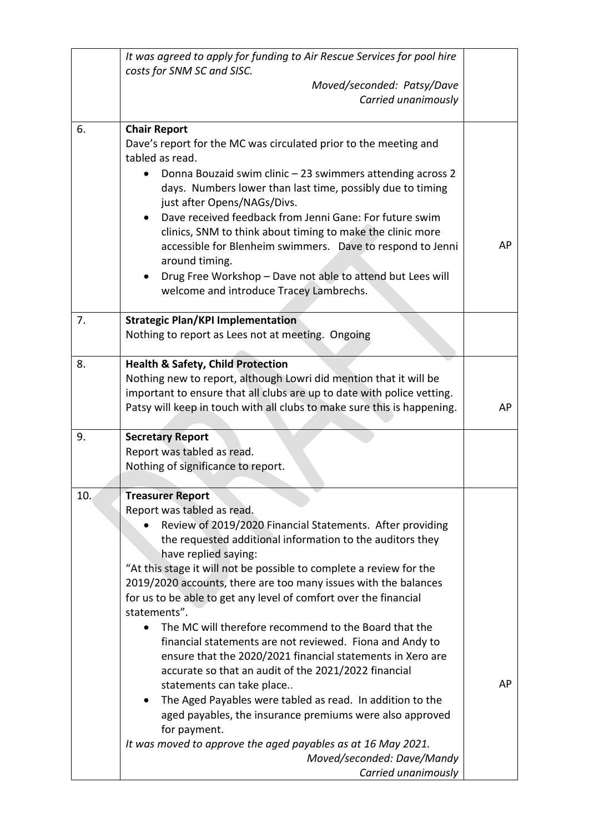|     | It was agreed to apply for funding to Air Rescue Services for pool hire<br>costs for SNM SC and SISC.                                                                                                                                                                                                                                                                                                                                                                                                                                                                                                                                                                                                                                                                                                                                                                                                                                                                       |    |
|-----|-----------------------------------------------------------------------------------------------------------------------------------------------------------------------------------------------------------------------------------------------------------------------------------------------------------------------------------------------------------------------------------------------------------------------------------------------------------------------------------------------------------------------------------------------------------------------------------------------------------------------------------------------------------------------------------------------------------------------------------------------------------------------------------------------------------------------------------------------------------------------------------------------------------------------------------------------------------------------------|----|
|     | Moved/seconded: Patsy/Dave                                                                                                                                                                                                                                                                                                                                                                                                                                                                                                                                                                                                                                                                                                                                                                                                                                                                                                                                                  |    |
|     | Carried unanimously                                                                                                                                                                                                                                                                                                                                                                                                                                                                                                                                                                                                                                                                                                                                                                                                                                                                                                                                                         |    |
| 6.  | <b>Chair Report</b><br>Dave's report for the MC was circulated prior to the meeting and<br>tabled as read.<br>Donna Bouzaid swim clinic - 23 swimmers attending across 2<br>days. Numbers lower than last time, possibly due to timing<br>just after Opens/NAGs/Divs.<br>Dave received feedback from Jenni Gane: For future swim<br>clinics, SNM to think about timing to make the clinic more<br>accessible for Blenheim swimmers. Dave to respond to Jenni<br>around timing.<br>Drug Free Workshop - Dave not able to attend but Lees will<br>welcome and introduce Tracey Lambrechs.                                                                                                                                                                                                                                                                                                                                                                                     | AP |
| 7.  | <b>Strategic Plan/KPI Implementation</b><br>Nothing to report as Lees not at meeting. Ongoing                                                                                                                                                                                                                                                                                                                                                                                                                                                                                                                                                                                                                                                                                                                                                                                                                                                                               |    |
| 8.  | <b>Health &amp; Safety, Child Protection</b><br>Nothing new to report, although Lowri did mention that it will be<br>important to ensure that all clubs are up to date with police vetting.<br>Patsy will keep in touch with all clubs to make sure this is happening.                                                                                                                                                                                                                                                                                                                                                                                                                                                                                                                                                                                                                                                                                                      | AP |
| 9.  | <b>Secretary Report</b><br>Report was tabled as read.<br>Nothing of significance to report.                                                                                                                                                                                                                                                                                                                                                                                                                                                                                                                                                                                                                                                                                                                                                                                                                                                                                 |    |
| 10. | <b>Treasurer Report</b><br>Report was tabled as read.<br>Review of 2019/2020 Financial Statements. After providing<br>the requested additional information to the auditors they<br>have replied saying:<br>"At this stage it will not be possible to complete a review for the<br>2019/2020 accounts, there are too many issues with the balances<br>for us to be able to get any level of comfort over the financial<br>statements".<br>The MC will therefore recommend to the Board that the<br>financial statements are not reviewed. Fiona and Andy to<br>ensure that the 2020/2021 financial statements in Xero are<br>accurate so that an audit of the 2021/2022 financial<br>statements can take place<br>The Aged Payables were tabled as read. In addition to the<br>aged payables, the insurance premiums were also approved<br>for payment.<br>It was moved to approve the aged payables as at 16 May 2021.<br>Moved/seconded: Dave/Mandy<br>Carried unanimously | AP |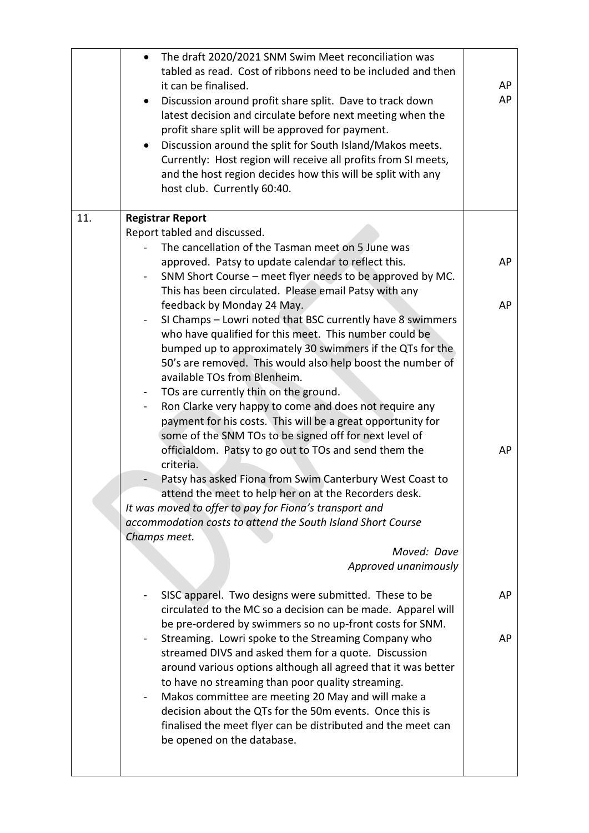| The draft 2020/2021 SNM Swim Meet reconciliation was<br>$\bullet$<br>tabled as read. Cost of ribbons need to be included and then<br>it can be finalised.<br>Discussion around profit share split. Dave to track down<br>latest decision and circulate before next meeting when the<br>profit share split will be approved for payment.<br>Discussion around the split for South Island/Makos meets.<br>$\bullet$<br>Currently: Host region will receive all profits from SI meets,<br>and the host region decides how this will be split with any<br>host club. Currently 60:40.                                                                                                                                                                                                                  | AP<br>AP |
|----------------------------------------------------------------------------------------------------------------------------------------------------------------------------------------------------------------------------------------------------------------------------------------------------------------------------------------------------------------------------------------------------------------------------------------------------------------------------------------------------------------------------------------------------------------------------------------------------------------------------------------------------------------------------------------------------------------------------------------------------------------------------------------------------|----------|
| <b>Registrar Report</b><br>Report tabled and discussed.<br>The cancellation of the Tasman meet on 5 June was<br>approved. Patsy to update calendar to reflect this.<br>SNM Short Course - meet flyer needs to be approved by MC.<br>This has been circulated. Please email Patsy with any<br>feedback by Monday 24 May.<br>SI Champs - Lowri noted that BSC currently have 8 swimmers<br>who have qualified for this meet. This number could be                                                                                                                                                                                                                                                                                                                                                    | AP<br>AP |
| bumped up to approximately 30 swimmers if the QTs for the<br>50's are removed. This would also help boost the number of<br>available TOs from Blenheim.<br>TOs are currently thin on the ground.<br>$\blacksquare$<br>Ron Clarke very happy to come and does not require any<br>$\blacksquare$<br>payment for his costs. This will be a great opportunity for<br>some of the SNM TOs to be signed off for next level of<br>officialdom. Patsy to go out to TOs and send them the<br>criteria.<br>Patsy has asked Fiona from Swim Canterbury West Coast to<br>attend the meet to help her on at the Recorders desk.<br>It was moved to offer to pay for Fiona's transport and<br>accommodation costs to attend the South Island Short Course<br>Champs meet.<br>Moved: Dave<br>Approved unanimously | AP       |
| SISC apparel. Two designs were submitted. These to be<br>circulated to the MC so a decision can be made. Apparel will<br>be pre-ordered by swimmers so no up-front costs for SNM.<br>Streaming. Lowri spoke to the Streaming Company who<br>streamed DIVS and asked them for a quote. Discussion<br>around various options although all agreed that it was better<br>to have no streaming than poor quality streaming.<br>Makos committee are meeting 20 May and will make a<br>$\blacksquare$<br>decision about the QTs for the 50m events. Once this is                                                                                                                                                                                                                                          | AP<br>AP |
| finalised the meet flyer can be distributed and the meet can<br>be opened on the database.                                                                                                                                                                                                                                                                                                                                                                                                                                                                                                                                                                                                                                                                                                         |          |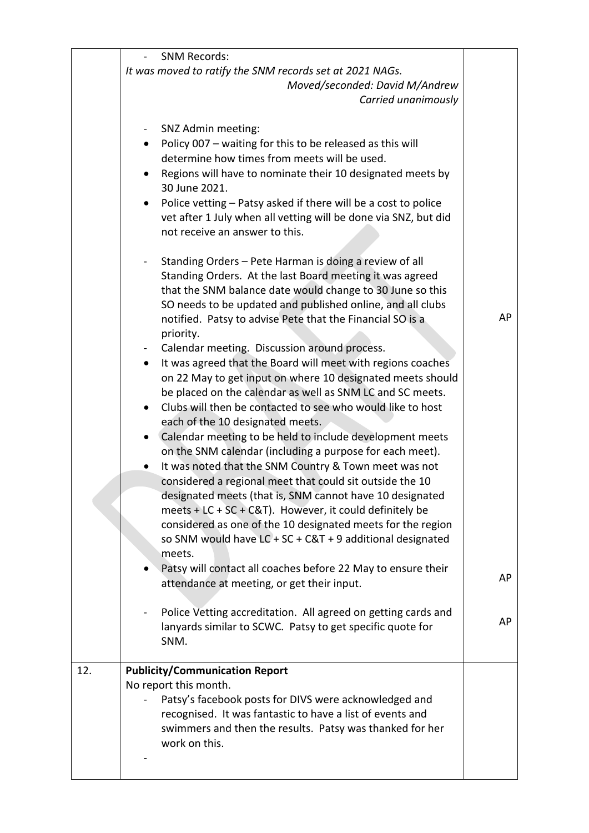|     | <b>SNM Records:</b>                                                                      |    |
|-----|------------------------------------------------------------------------------------------|----|
|     | It was moved to ratify the SNM records set at 2021 NAGs.                                 |    |
|     | Moved/seconded: David M/Andrew                                                           |    |
|     | Carried unanimously                                                                      |    |
|     |                                                                                          |    |
|     | SNZ Admin meeting:                                                                       |    |
|     | Policy 007 - waiting for this to be released as this will<br>$\bullet$                   |    |
|     | determine how times from meets will be used.                                             |    |
|     | Regions will have to nominate their 10 designated meets by<br>$\bullet$<br>30 June 2021. |    |
|     | Police vetting - Patsy asked if there will be a cost to police<br>$\bullet$              |    |
|     | vet after 1 July when all vetting will be done via SNZ, but did                          |    |
|     | not receive an answer to this.                                                           |    |
|     |                                                                                          |    |
|     | Standing Orders - Pete Harman is doing a review of all                                   |    |
|     | Standing Orders. At the last Board meeting it was agreed                                 |    |
|     | that the SNM balance date would change to 30 June so this                                |    |
|     | SO needs to be updated and published online, and all clubs                               |    |
|     | notified. Patsy to advise Pete that the Financial SO is a                                | AP |
|     | priority.                                                                                |    |
|     | Calendar meeting. Discussion around process.<br>$\blacksquare$                           |    |
|     | It was agreed that the Board will meet with regions coaches<br>$\bullet$                 |    |
|     | on 22 May to get input on where 10 designated meets should                               |    |
|     | be placed on the calendar as well as SNM LC and SC meets.                                |    |
|     | Clubs will then be contacted to see who would like to host                               |    |
|     | each of the 10 designated meets.                                                         |    |
|     | Calendar meeting to be held to include development meets                                 |    |
|     | on the SNM calendar (including a purpose for each meet).                                 |    |
|     | It was noted that the SNM Country & Town meet was not                                    |    |
|     | considered a regional meet that could sit outside the 10                                 |    |
|     | designated meets (that is, SNM cannot have 10 designated                                 |    |
|     | meets + LC + SC + C&T). However, it could definitely be                                  |    |
|     | considered as one of the 10 designated meets for the region                              |    |
|     | so SNM would have $LC + SC + C&T + 9$ additional designated                              |    |
|     | meets.                                                                                   |    |
|     | Patsy will contact all coaches before 22 May to ensure their                             | AP |
|     | attendance at meeting, or get their input.                                               |    |
|     |                                                                                          |    |
|     | Police Vetting accreditation. All agreed on getting cards and                            | AP |
|     | lanyards similar to SCWC. Patsy to get specific quote for                                |    |
|     | SNM.                                                                                     |    |
|     |                                                                                          |    |
| 12. | <b>Publicity/Communication Report</b>                                                    |    |
|     | No report this month.                                                                    |    |
|     | Patsy's facebook posts for DIVS were acknowledged and                                    |    |
|     | recognised. It was fantastic to have a list of events and                                |    |
|     | swimmers and then the results. Patsy was thanked for her<br>work on this.                |    |
|     |                                                                                          |    |
|     |                                                                                          |    |
|     |                                                                                          |    |